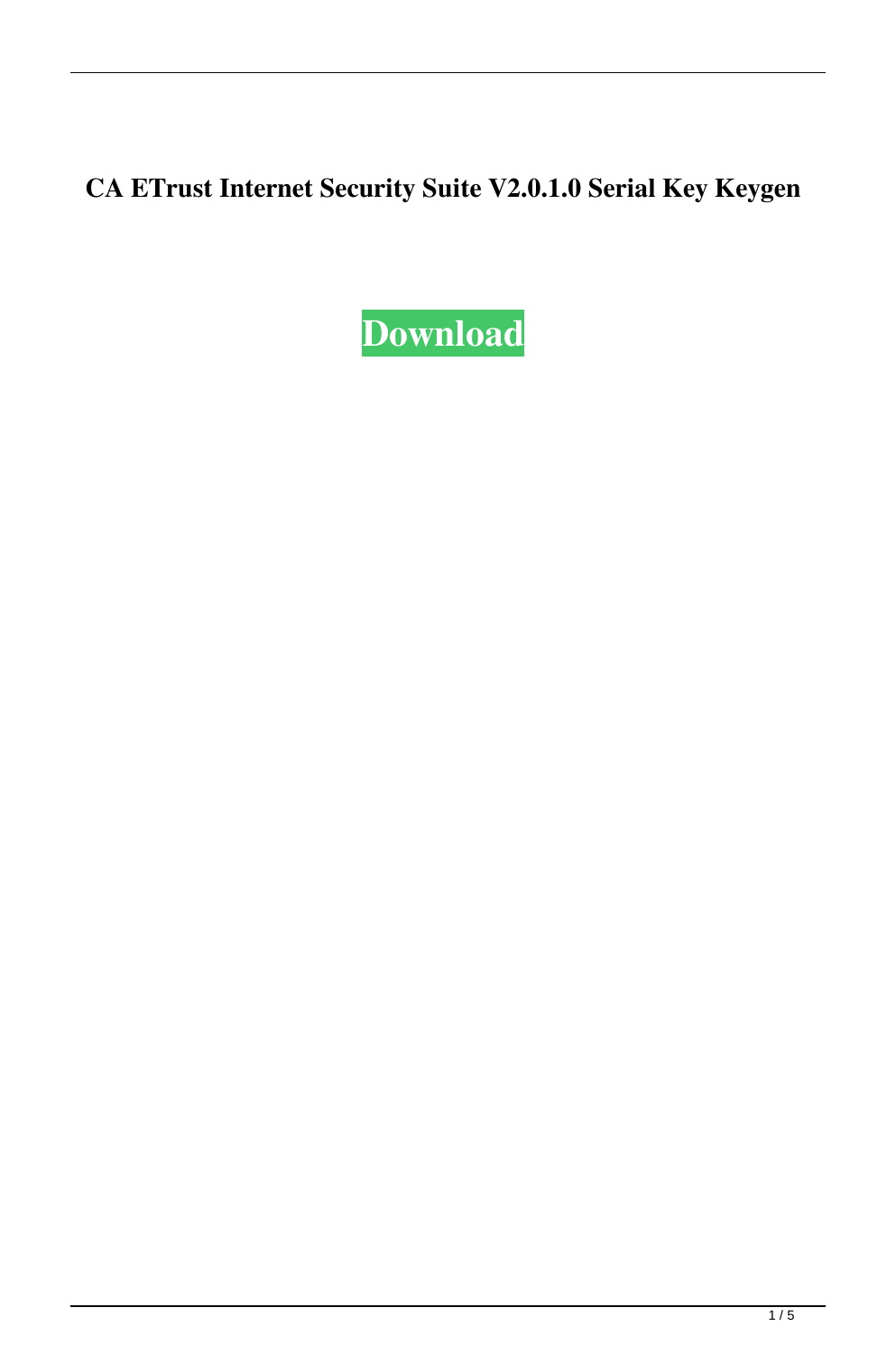## **CA ETrust Internet Security Suite V2.0.1.0 Serial Key Keygen**

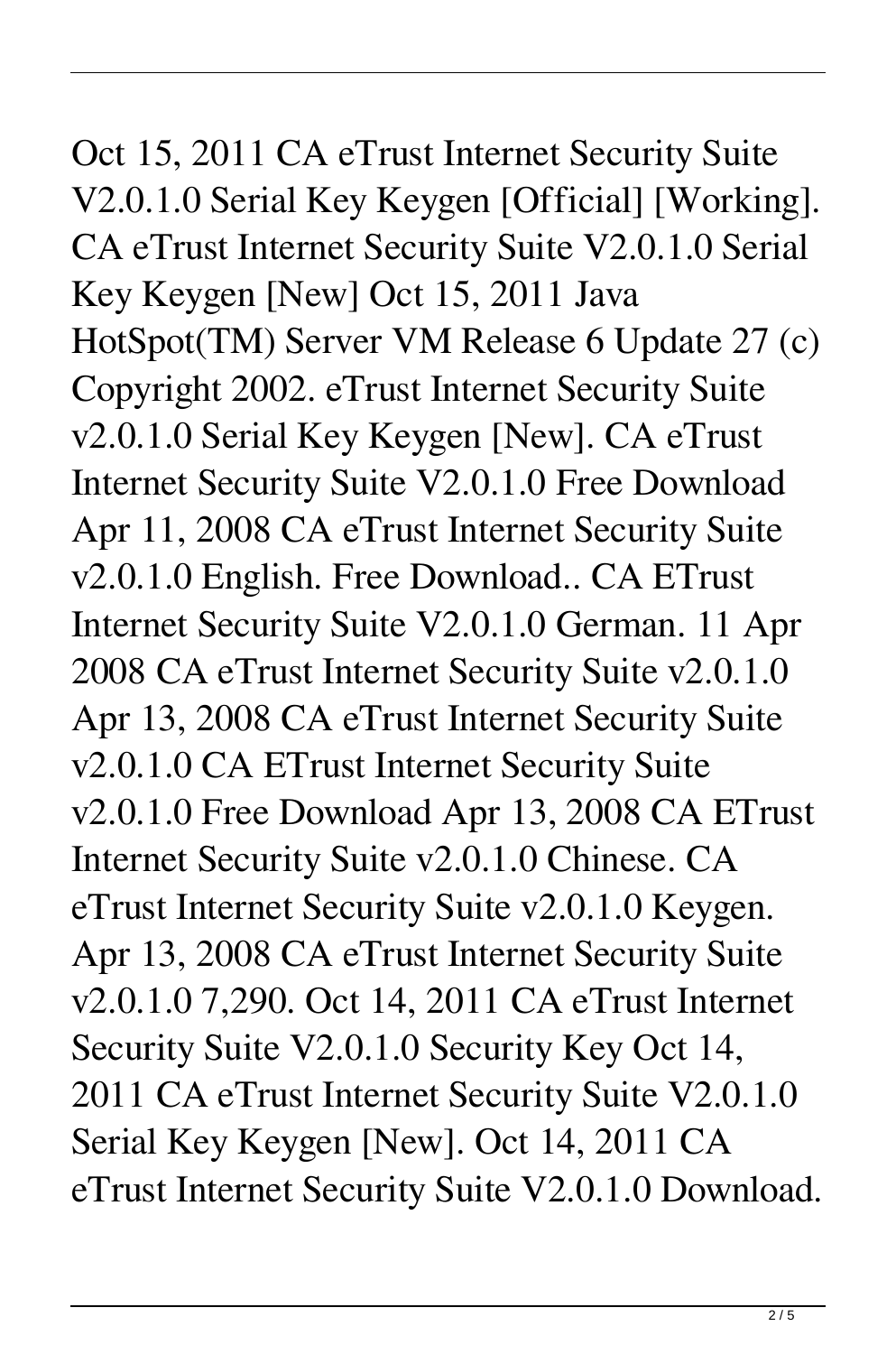Oct 15, 2011 CA eTrust Internet Security Suite V2.0.1.0 Serial Key Keygen [Official] [Working]. CA eTrust Internet Security Suite V2.0.1.0 Serial Key Keygen [New] Oct 15, 2011 Java HotSpot(TM) Server VM Release 6 Update 27 (c) Copyright 2002. eTrust Internet Security Suite v2.0.1.0 Serial Key Keygen [New]. CA eTrust Internet Security Suite V2.0.1.0 Free Download Apr 11, 2008 CA eTrust Internet Security Suite v2.0.1.0 English. Free Download.. CA ETrust Internet Security Suite V2.0.1.0 German. 11 Apr 2008 CA eTrust Internet Security Suite v2.0.1.0 Apr 13, 2008 CA eTrust Internet Security Suite v2.0.1.0 CA ETrust Internet Security Suite v2.0.1.0 Free Download Apr 13, 2008 CA ETrust Internet Security Suite v2.0.1.0 Chinese. CA eTrust Internet Security Suite v2.0.1.0 Keygen. Apr 13, 2008 CA eTrust Internet Security Suite v2.0.1.0 7,290. Oct 14, 2011 CA eTrust Internet

Security Suite V2.0.1.0 Security Key Oct 14, 2011 CA eTrust Internet Security Suite V2.0.1.0 Serial Key Keygen [New]. Oct 14, 2011 CA eTrust Internet Security Suite V2.0.1.0 Download.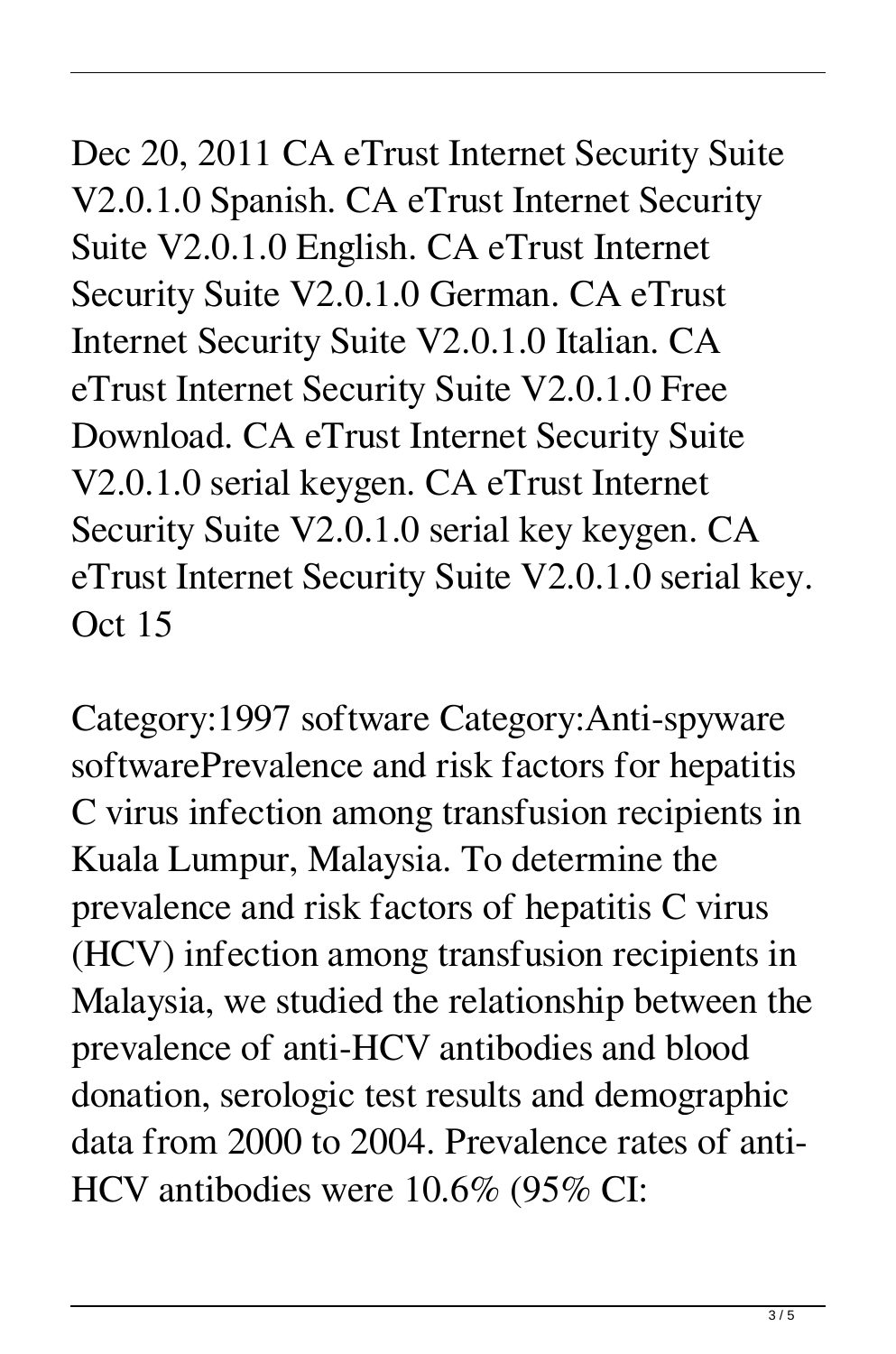Dec 20, 2011 CA eTrust Internet Security Suite V2.0.1.0 Spanish. CA eTrust Internet Security Suite V2.0.1.0 English. CA eTrust Internet Security Suite V2.0.1.0 German. CA eTrust Internet Security Suite V2.0.1.0 Italian. CA eTrust Internet Security Suite V2.0.1.0 Free Download. CA eTrust Internet Security Suite V2.0.1.0 serial keygen. CA eTrust Internet Security Suite V2.0.1.0 serial key keygen. CA eTrust Internet Security Suite V2.0.1.0 serial key. Oct 15

Category:1997 software Category:Anti-spyware softwarePrevalence and risk factors for hepatitis C virus infection among transfusion recipients in Kuala Lumpur, Malaysia. To determine the prevalence and risk factors of hepatitis C virus (HCV) infection among transfusion recipients in Malaysia, we studied the relationship between the prevalence of anti-HCV antibodies and blood donation, serologic test results and demographic data from 2000 to 2004. Prevalence rates of anti-HCV antibodies were 10.6% (95% CI: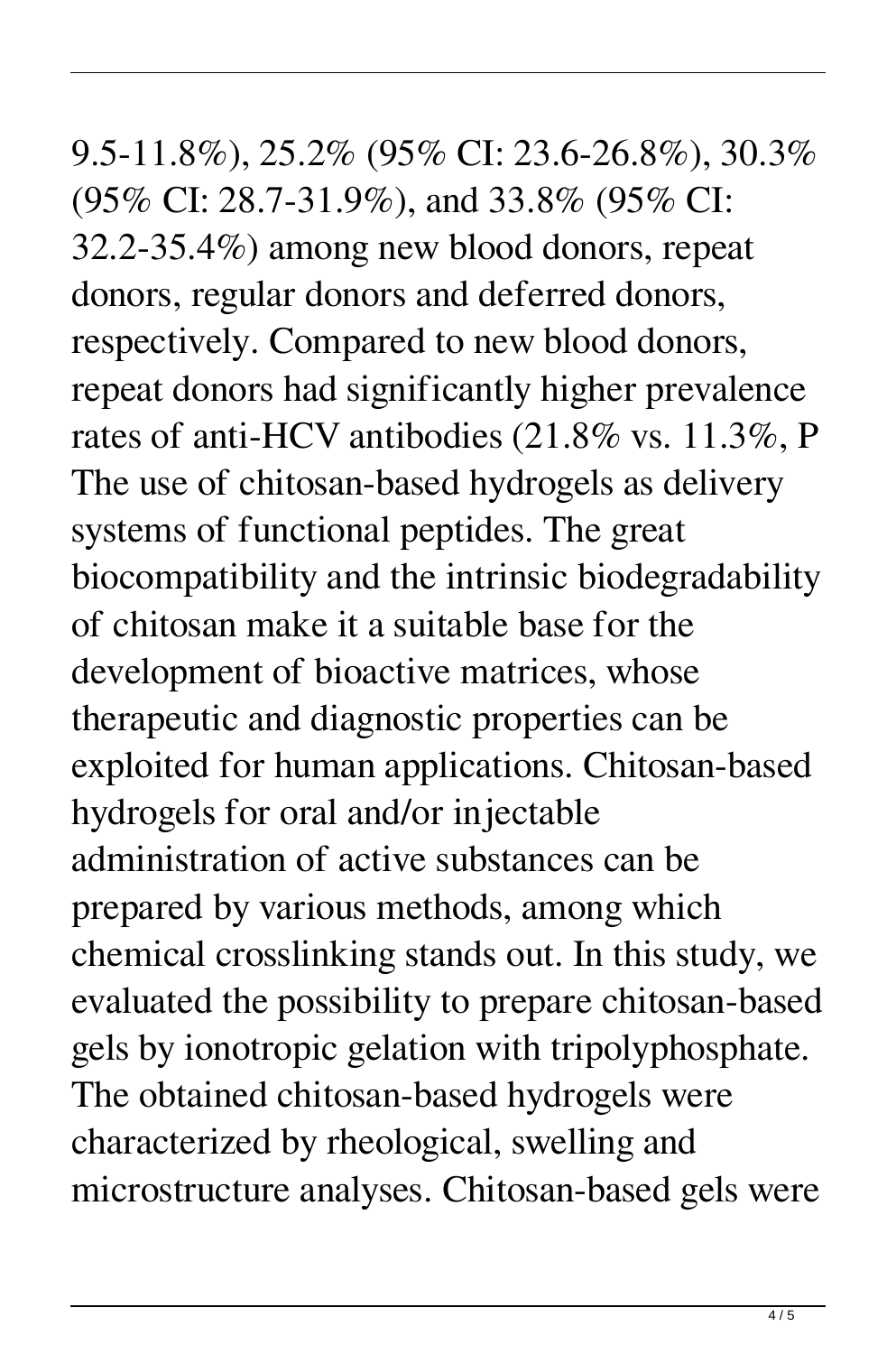9.5-11.8%), 25.2% (95% CI: 23.6-26.8%), 30.3% (95% CI: 28.7-31.9%), and 33.8% (95% CI: 32.2-35.4%) among new blood donors, repeat donors, regular donors and deferred donors, respectively. Compared to new blood donors, repeat donors had significantly higher prevalence rates of anti-HCV antibodies (21.8% vs. 11.3%, P The use of chitosan-based hydrogels as delivery systems of functional peptides. The great biocompatibility and the intrinsic biodegradability of chitosan make it a suitable base for the development of bioactive matrices, whose therapeutic and diagnostic properties can be exploited for human applications. Chitosan-based hydrogels for oral and/or injectable administration of active substances can be prepared by various methods, among which chemical crosslinking stands out. In this study, we evaluated the possibility to prepare chitosan-based gels by ionotropic gelation with tripolyphosphate. The obtained chitosan-based hydrogels were characterized by rheological, swelling and microstructure analyses. Chitosan-based gels were